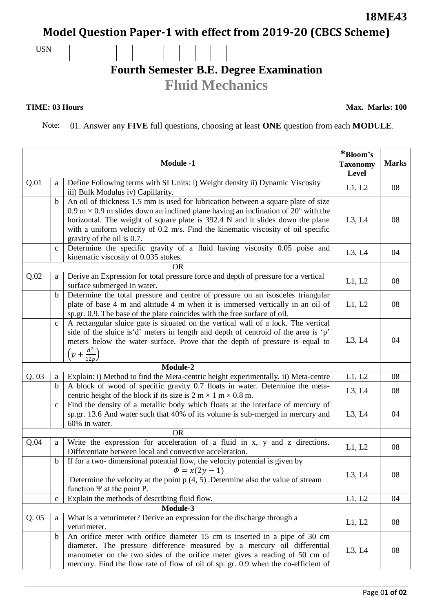## **Model Question Paper-1 with effect from 2019-20 (CBCS Scheme)**

USN

## **Fourth Semester B.E. Degree Examination Fluid Mechanics**

## **TIME: 03 Hours**

**Max. Marks: 100**

**18ME43**

Note: 01. Answer any **FIVE** full questions, choosing at least **ONE** question from each **MODULE**.

|           |              | <b>Module -1</b>                                                                                                                                                                                                                                                                                                                                                                  | *Bloom's<br><b>Taxonomy</b><br>Level | <b>Marks</b> |  |
|-----------|--------------|-----------------------------------------------------------------------------------------------------------------------------------------------------------------------------------------------------------------------------------------------------------------------------------------------------------------------------------------------------------------------------------|--------------------------------------|--------------|--|
| Q.01      | a            | Define Following terms with SI Units: i) Weight density ii) Dynamic Viscosity<br>iii) Bulk Modulus iv) Capillarity.                                                                                                                                                                                                                                                               | L1, L2                               | 08           |  |
|           | $\mathbf b$  | An oil of thickness 1.5 mm is used for lubrication between a square plate of size<br>0.9 m $\times$ 0.9 m slides down an inclined plane having an inclination of 20° with the<br>horizontal. The weight of square plate is 392.4 N and it slides down the plane<br>with a uniform velocity of 0.2 m/s. Find the kinematic viscosity of oil specific<br>gravity of the oil is 0.7. | L3, L4                               | 08           |  |
|           | $\mathbf c$  | Determine the specific gravity of a fluid having viscosity 0.05 poise and<br>kinematic viscosity of 0.035 stokes.                                                                                                                                                                                                                                                                 | L3, L4                               | 04           |  |
|           |              | <b>OR</b>                                                                                                                                                                                                                                                                                                                                                                         |                                      |              |  |
| Q.02      | a            | Derive an Expression for total pressure force and depth of pressure for a vertical<br>surface submerged in water.                                                                                                                                                                                                                                                                 | L1, L2                               | 08           |  |
|           | $\mathbf b$  | Determine the total pressure and centre of pressure on an isosceles triangular<br>plate of base 4 m and altitude 4 m when it is immersed vertically in an oil of<br>sp.gr. 0.9. The base of the plate coincides with the free surface of oil.                                                                                                                                     | L1, L2                               | 08           |  |
|           | $\mathbf{C}$ | A rectangular sluice gate is situated on the vertical wall of a lock. The vertical<br>side of the sluice is'd' meters in length and depth of centroid of the area is 'p'<br>meters below the water surface. Prove that the depth of pressure is equal to<br>$\left(p+\frac{d^2}{12p}\right)$                                                                                      | L3, L4                               | 04           |  |
|           |              | Module-2                                                                                                                                                                                                                                                                                                                                                                          |                                      |              |  |
| Q.03      | $\mathbf{a}$ | Explain: i) Method to find the Meta-centric height experimentally. ii) Meta-centre                                                                                                                                                                                                                                                                                                | L1, L2                               | 08           |  |
|           | $\mathbf b$  | A block of wood of specific gravity 0.7 floats in water. Determine the meta-<br>centric height of the block if its size is $2 \text{ m} \times 1 \text{ m} \times 0.8 \text{ m}$ .                                                                                                                                                                                                | L3, L4                               | 08           |  |
|           | $\mathbf{C}$ | Find the density of a metallic body which floats at the interface of mercury of<br>sp.gr. 13.6 And water such that 40% of its volume is sub-merged in mercury and<br>60% in water.                                                                                                                                                                                                | L3, L4                               | 04           |  |
| <b>OR</b> |              |                                                                                                                                                                                                                                                                                                                                                                                   |                                      |              |  |
| Q.04      | a            | Write the expression for acceleration of a fluid in x, y and z directions.<br>Differentiate between local and convective acceleration.                                                                                                                                                                                                                                            | L1, L2                               | 08           |  |
|           | $\mathbf b$  | If for a two- dimensional potential flow, the velocity potential is given by<br>$\Phi = x(2y - 1)$<br>Determine the velocity at the point $p(4, 5)$ . Determine also the value of stream<br>function $\Psi$ at the point P.                                                                                                                                                       | L3, L4                               | 08           |  |
|           | $\mathbf c$  | Explain the methods of describing fluid flow.                                                                                                                                                                                                                                                                                                                                     | L1, L2                               | 04           |  |
|           |              | Module-3                                                                                                                                                                                                                                                                                                                                                                          |                                      |              |  |
| Q.05      | a            | What is a veturimeter? Derive an expression for the discharge through a<br>veturimeter.                                                                                                                                                                                                                                                                                           | L1, L2                               | 08           |  |
|           | $\mathbf b$  | An orifice meter with orifice diameter 15 cm is inserted in a pipe of 30 cm<br>diameter. The pressure difference measured by a mercury oil differential<br>manometer on the two sides of the orifice meter gives a reading of 50 cm of<br>mercury. Find the flow rate of flow of oil of sp. gr. 0.9 when the co-efficient of                                                      | L3, L4                               | 08           |  |